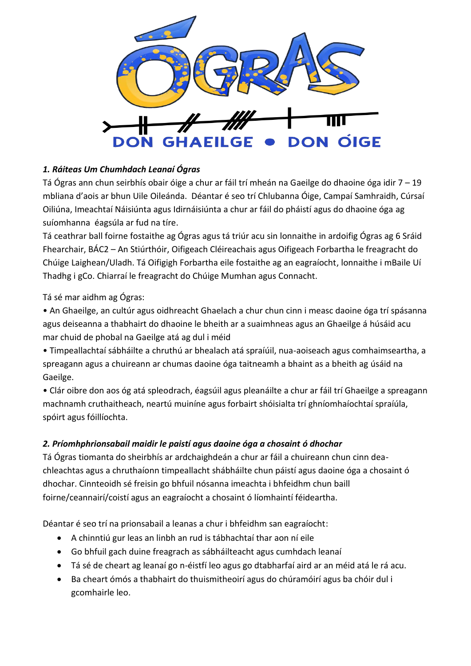

## *1. Ráiteas Um Chumhdach Leanaí Ógras*

Tá Ógras ann chun seirbhís obair óige a chur ar fáil trí mheán na Gaeilge do dhaoine óga idir 7 – 19 mbliana d'aois ar bhun Uile Oileánda. Déantar é seo trí Chlubanna Óige, Campaí Samhraidh, Cúrsaí Oiliúna, Imeachtaí Náisiúnta agus Idirnáisiúnta a chur ar fáil do pháistí agus do dhaoine óga ag suíomhanna éagsúla ar fud na tíre.

Tá ceathrar ball foirne fostaithe ag Ógras agus tá triúr acu sin lonnaithe in ardoifig Ógras ag 6 Sráid Fhearchair, BÁC2 – An Stiúrthóir, Oifigeach Cléireachais agus Oifigeach Forbartha le freagracht do Chúige Laighean/Uladh. Tá Oifigigh Forbartha eile fostaithe ag an eagraíocht, lonnaithe i mBaile Uí Thadhg i gCo. Chiarraí le freagracht do Chúige Mumhan agus Connacht.

Tá sé mar aidhm ag Ógras:

• An Ghaeilge, an cultúr agus oidhreacht Ghaelach a chur chun cinn i measc daoine óga trí spásanna agus deiseanna a thabhairt do dhaoine le bheith ar a suaimhneas agus an Ghaeilge á húsáid acu mar chuid de phobal na Gaeilge atá ag dul i méid

• Timpeallachtaí sábháilte a chruthú ar bhealach atá spraíúil, nua-aoiseach agus comhaimseartha, a spreagann agus a chuireann ar chumas daoine óga taitneamh a bhaint as a bheith ag úsáid na Gaeilge.

• Clár oibre don aos óg atá spleodrach, éagsúil agus pleanáilte a chur ar fáil trí Ghaeilge a spreagann machnamh cruthaitheach, neartú muiníne agus forbairt shóisialta trí ghníomhaíochtaí spraíúla, spóirt agus fóillíochta.

### *2. Príomhphrionsabail maidir le paistí agus daoine óga a chosaint ó dhochar*

Tá Ógras tiomanta do sheirbhís ar ardchaighdeán a chur ar fáil a chuireann chun cinn deachleachtas agus a chruthaíonn timpeallacht shábháilte chun páistí agus daoine óga a chosaint ó dhochar. Cinnteoidh sé freisin go bhfuil nósanna imeachta i bhfeidhm chun baill foirne/ceannairí/coistí agus an eagraíocht a chosaint ó líomhaintí féideartha.

Déantar é seo trí na prionsabail a leanas a chur i bhfeidhm san eagraíocht:

- A chinntiú gur leas an linbh an rud is tábhachtaí thar aon ní eile
- Go bhfuil gach duine freagrach as sábháilteacht agus cumhdach leanaí
- Tá sé de cheart ag leanaí go n-éistfí leo agus go dtabharfaí aird ar an méid atá le rá acu.
- Ba cheart ómós a thabhairt do thuismitheoirí agus do chúramóirí agus ba chóir dul i gcomhairle leo.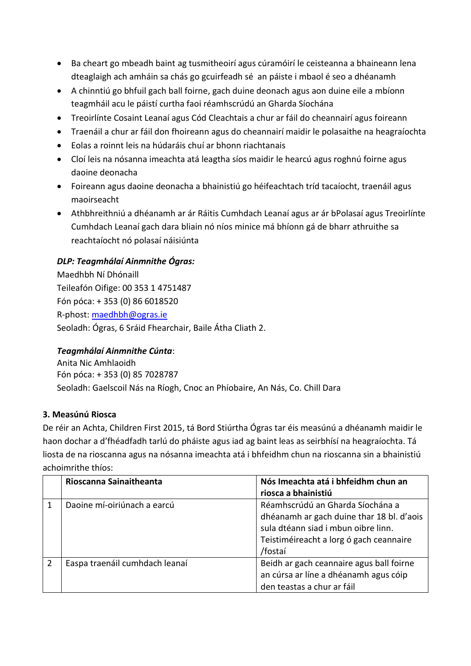- Ba cheart go mbeadh baint ag tusmitheoirí agus cúramóirí le ceisteanna a bhaineann lena dteaglaigh ach amháin sa chás go gcuirfeadh sé an páiste i mbaol é seo a dhéanamh
- A chinntiú go bhfuil gach ball foirne, gach duine deonach agus aon duine eile a mbíonn teagmháil acu le páistí curtha faoi réamhscrúdú an Gharda Síochána
- Treoirlínte Cosaint Leanaí agus Cód Cleachtais a chur ar fáil do cheannairí agus foireann
- Traenáil a chur ar fáil don fhoireann agus do cheannairí maidir le polasaithe na heagraíochta
- Eolas a roinnt leis na húdaráis chuí ar bhonn riachtanais
- Cloí leis na nósanna imeachta atá leagtha síos maidir le hearcú agus roghnú foirne agus daoine deonacha
- Foireann agus daoine deonacha a bhainistiú go héifeachtach tríd tacaíocht, traenáil agus maoirseacht
- Athbhreithniú a dhéanamh ar ár Ráitis Cumhdach Leanaí agus ar ár bPolasaí agus Treoirlínte Cumhdach Leanaí gach dara bliain nó níos minice má bhíonn gá de bharr athruithe sa reachtaíocht nó polasaí náisiúnta

### *DLP: Teagmhálaí Ainmnithe Ógras:*

Maedhbh Ní Dhónaill Teileafón Oifige: 00 353 1 4751487 Fón póca: + 353 (0) 86 6018520 R-phost: [maedhbh@ogras.ie](mailto:maedhbh@ogras.ie) Seoladh: Ógras, 6 Sráid Fhearchair, Baile Átha Cliath 2.

### *Teagmhálaí Ainmnithe Cúnta*:

Anita Nic Amhlaoidh Fón póca: + 353 (0) 85 7028787 Seoladh: Gaelscoil Nás na Ríogh, Cnoc an Phíobaire, An Nás, Co. Chill Dara

### **3. Measúnú Riosca**

De réir an Achta, Children First 2015, tá Bord Stiúrtha Ógras tar éis measúnú a dhéanamh maidir le haon dochar a d'fhéadfadh tarlú do pháiste agus iad ag baint leas as seirbhísí na heagraíochta. Tá liosta de na rioscanna agus na nósanna imeachta atá i bhfeidhm chun na rioscanna sin a bhainistiú achoimrithe thíos:

| Rioscanna Sainaitheanta        | Nós Imeachta atá i bhfeidhm chun an       |
|--------------------------------|-------------------------------------------|
|                                | riosca a bhainistiú                       |
| Daoine mí-oiriúnach a earcú    | Réamhscrúdú an Gharda Síochána a          |
|                                | dhéanamh ar gach duine thar 18 bl. d'aois |
|                                | sula dtéann siad i mbun oibre linn.       |
|                                | Teistiméireacht a lorg ó gach ceannaire   |
|                                | /fostaí                                   |
| Easpa traenáil cumhdach leanaí | Beidh ar gach ceannaire agus ball foirne  |
|                                | an cúrsa ar líne a dhéanamh agus cóip     |
|                                | den teastas a chur ar fáil                |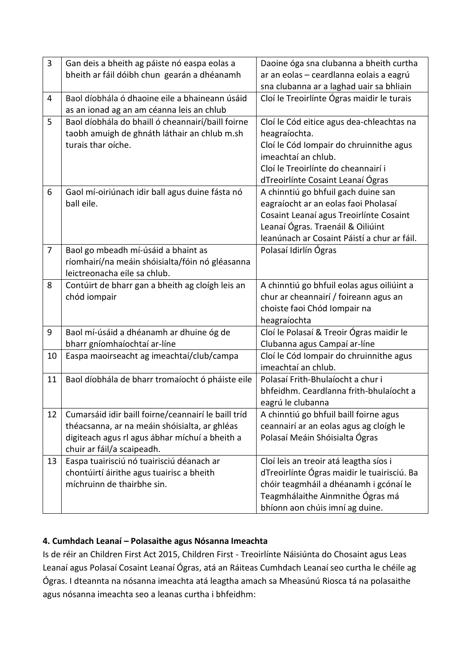| 3              | Gan deis a bheith ag páiste nó easpa eolas a<br>bheith ar fáil dóibh chun gearán a dhéanamh                             | Daoine óga sna clubanna a bheith curtha<br>ar an eolas - ceardlanna eolais a eagrú                                                                                                                         |
|----------------|-------------------------------------------------------------------------------------------------------------------------|------------------------------------------------------------------------------------------------------------------------------------------------------------------------------------------------------------|
|                |                                                                                                                         | sna clubanna ar a laghad uair sa bhliain                                                                                                                                                                   |
| 4              | Baol díobhála ó dhaoine eile a bhaineann úsáid<br>as an ionad ag an am céanna leis an chlub                             | Cloí le Treoirlínte Ógras maidir le turais                                                                                                                                                                 |
| 5              | Baol díobhála do bhaill ó cheannairí/baill foirne<br>taobh amuigh de ghnáth láthair an chlub m.sh<br>turais thar oíche. | Cloí le Cód eitice agus dea-chleachtas na<br>heagraíochta.<br>Cloí le Cód Iompair do chruinnithe agus<br>imeachtaí an chlub.<br>Cloí le Treoirlínte do cheannairí i<br>dTreoirlínte Cosaint Leanaí Ógras   |
| 6              | Gaol mí-oiriúnach idir ball agus duine fásta nó<br>ball eile.                                                           | A chinntiú go bhfuil gach duine san<br>eagraíocht ar an eolas faoi Pholasaí<br>Cosaint Leanaí agus Treoirlínte Cosaint<br>Leanaí Ógras. Traenáil & Oiliúint<br>leanúnach ar Cosaint Páistí a chur ar fáil. |
| $\overline{7}$ | Baol go mbeadh mí-úsáid a bhaint as<br>ríomhairí/na meáin shóisialta/fóin nó gléasanna<br>leictreonacha eile sa chlub.  | Polasaí Idirlín Ógras                                                                                                                                                                                      |
| 8              | Contúirt de bharr gan a bheith ag cloígh leis an<br>chód iompair                                                        | A chinntiú go bhfuil eolas agus oiliúint a<br>chur ar cheannairí / foireann agus an<br>choiste faoi Chód Iompair na<br>heagraíochta                                                                        |
| 9              | Baol mí-úsáid a dhéanamh ar dhuine óg de<br>bharr gníomhaíochtaí ar-líne                                                | Cloí le Polasaí & Treoir Ógras maidir le<br>Clubanna agus Campaí ar-líne                                                                                                                                   |
| 10             | Easpa maoirseacht ag imeachtaí/club/campa                                                                               | Cloí le Cód Iompair do chruinnithe agus<br>imeachtaí an chlub.                                                                                                                                             |
| 11             | Baol díobhála de bharr tromaíocht ó pháiste eile                                                                        | Polasaí Frith-Bhulaíocht a chur i<br>bhfeidhm. Ceardlanna frith-bhulaíocht a<br>eagrú le clubanna                                                                                                          |
| 12             | Cumarsáid idir baill foirne/ceannairí le baill tríd                                                                     | A chinntiú go bhfuil baill foirne agus                                                                                                                                                                     |
|                | théacsanna, ar na meáin shóisialta, ar ghléas                                                                           | ceannairí ar an eolas agus ag cloígh le                                                                                                                                                                    |
|                | digiteach agus rl agus ábhar míchuí a bheith a<br>chuir ar fáil/a scaipeadh.                                            | Polasaí Meáin Shóisialta Ógras                                                                                                                                                                             |
| 13             | Easpa tuairisciú nó tuairisciú déanach ar                                                                               | Cloí leis an treoir atá leagtha síos i                                                                                                                                                                     |
|                | chontúirtí áirithe agus tuairisc a bheith                                                                               | dTreoirlínte Ógras maidir le tuairisciú. Ba                                                                                                                                                                |
|                | míchruinn de thairbhe sin.                                                                                              | chóir teagmháil a dhéanamh i gcónaí le                                                                                                                                                                     |
|                |                                                                                                                         | Teagmhálaithe Ainmnithe Ógras má                                                                                                                                                                           |
|                |                                                                                                                         | bhíonn aon chúis imní ag duine.                                                                                                                                                                            |

# **4. Cumhdach Leanaí – Polasaithe agus Nósanna Imeachta**

Is de réir an Children First Act 2015, Children First - Treoirlínte Náisiúnta do Chosaint agus Leas Leanaí agus Polasaí Cosaint Leanaí Ógras, atá an Ráiteas Cumhdach Leanaí seo curtha le chéile ag Ógras. I dteannta na nósanna imeachta atá leagtha amach sa Mheasúnú Riosca tá na polasaithe agus nósanna imeachta seo a leanas curtha i bhfeidhm: